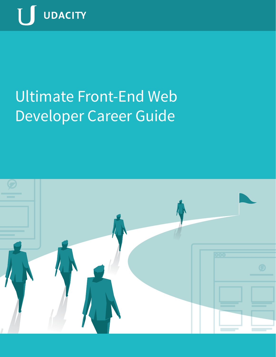

# Ultimate Front-End Web Developer Career Guide

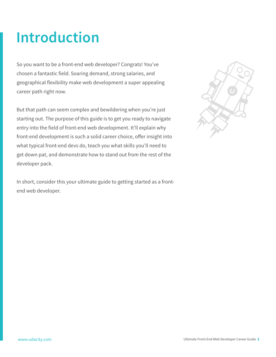### **Introduction**

So you want to be a front-end web developer? Congrats! You've chosen a fantastic field. Soaring demand, strong salaries, and geographical flexibility make web development a super appealing career path right now.

But that path can seem complex and bewildering when you're just starting out. The purpose of this guide is to get you ready to navigate entry into the field of front-end web development. It'll explain why front-end development is such a solid career choice, offer insight into what typical front-end devs do, teach you what skills you'll need to get down pat, and demonstrate how to stand out from the rest of the developer pack.

In short, consider this your ultimate guide to getting started as a frontend web developer.

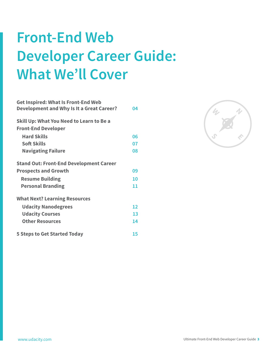## **Front-End Web Developer Career Guide: What We'll Cover**

| <b>Get Inspired: What Is Front-End Web</b><br><b>Development and Why Is It a Great Career?</b> | 04 |
|------------------------------------------------------------------------------------------------|----|
| <b>Skill Up: What You Need to Learn to Be a</b><br><b>Front-End Developer</b>                  |    |
| <b>Hard Skills</b>                                                                             | 06 |
| <b>Soft Skills</b>                                                                             | 07 |
| <b>Navigating Failure</b>                                                                      | 08 |
| <b>Stand Out: Front-End Development Career</b>                                                 |    |
| <b>Prospects and Growth</b>                                                                    | 09 |
| <b>Resume Building</b>                                                                         | 10 |
| <b>Personal Branding</b>                                                                       | 11 |
| <b>What Next? Learning Resources</b>                                                           |    |
| <b>Udacity Nanodegrees</b>                                                                     | 12 |
| <b>Udacity Courses</b>                                                                         | 13 |
| <b>Other Resources</b>                                                                         | 14 |
| <b>5 Steps to Get Started Today</b>                                                            | 15 |

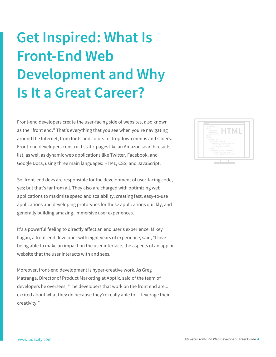## **Get Inspired: What Is Front-End Web Development and Why Is It a Great Career?**

Front-end developers create the user-facing side of websites, also known as the "front end." That's everything that you see when you're navigating around the Internet, from fonts and colors to dropdown menus and sliders. Front-end developers construct static pages like an Amazon search results list, as well as dynamic web applications like Twitter, Facebook, and Google Docs, using three main languages: HTML, CSS, and JavaScript.

So, front-end devs are responsible for the development of user-facing code, yes; but that's far from all. They also are charged with optimizing web applications to maximize speed and scalability, creating fast, easy-to-use applications and developing prototypes for those applications quickly, and generally building amazing, immersive user experiences.

It's a powerful feeling to directly affect an end user's experience. Mikey Ilagan, a front-end developer with eight years of experience, said, "I love being able to make an impact on the user interface, the aspects of an app or website that the user interacts with and sees."

Moreover, front-end development is hyper-creative work. As Greg Matranga, Director of Product Marketing at Apptix, said of the team of developers he oversees, "The developers that work on the front end are... excited about what they do because they're really able to leverage their creativity."

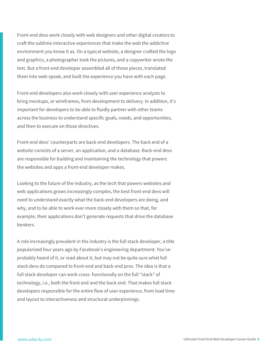Front-end devs work closely with web designers and other digital creators to craft the sublime interactive experiences that make the web the addictive environment you know it as. On a typical website, a designer crafted the logo and graphics, a photographer took the pictures, and a copywriter wrote the text. But a front-end developer assembled all of those pieces, translated them into web-speak, and built the experience you have with each page.

Front-end developers also work closely with user experience analysts to bring mockups, or wireframes, from development to delivery. In addition, it's important for developers to be able to fluidly partner with other teams across the business to understand specific goals, needs, and opportunities, and then to execute on those directives.

Front-end devs' counterparts are back-end developers. The back end of a website consists of a server, an application, and a database. Back-end devs are responsible for building and maintaining the technology that powers the websites and apps a front-end developer makes.

Looking to the future of the industry, as the tech that powers websites and web applications grows increasingly complex, the best front-end devs will need to understand exactly what the back-end developers are doing, and why, and to be able to work ever more closely with them so that, for example, their applications don't generate requests that drive the database bonkers.

A role increasingly prevalent in the industry is the full stack developer, a title popularized four years ago by Facebook's engineering department. You've probably heard of it, or read about it, but may not be quite sure what full stack devs do compared to front-end and back-end pros. The idea is that a full stack developer can work cross- functionally on the full "stack" of technology, i.e., both the front end and the back end. That makes full stack developers responsible for the entire flow of user experience, from load time and layout to interactiveness and structural underpinnings.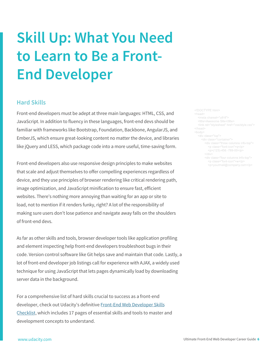## **Skill Up: What You Need to Learn to Be a Front-End Developer**

#### **Hard Skills**

Front-end developers must be adept at three main languages: HTML, CSS, and JavaScript. In addition to fluency in these languages, front-end devs should be familiar with frameworks like Bootstrap, Foundation, Backbone, AngularJS, and EmberJS, which ensure great-looking content no matter the device, and libraries like jQuery and LESS, which package code into a more useful, time-saving form.

Front-end developers also use responsive design principles to make websites that scale and adjust themselves to offer compelling experiences regardless of device, and they use principles of browser rendering like critical rendering path, image optimization, and JavaScript minification to ensure fast, efficient websites. There's nothing more annoying than waiting for an app or site to load, not to mention if it renders funky, right? A lot of the responsibility of making sure users don't lose patience and navigate away falls on the shoulders of front-end devs.

As far as other skills and tools, browser developer tools like application profiling and element inspecting help front-end developers troubleshoot bugs in their code. Version control software like Git helps save and maintain that code. Lastly, a lot of front-end developer job listings call for experience with AJAX, a widely used technique for using JavaScript that lets pages dynamically load by downloading server data in the background.

For a comprehensive list of hard skills crucial to success as a front-end developer, check out Udacity's definitive Front-End Web Developer Skills Checklist, which includes 17 pages of essential skills and tools to master and development concepts to understand.

<link rel="stylesheet" href="css/style.css">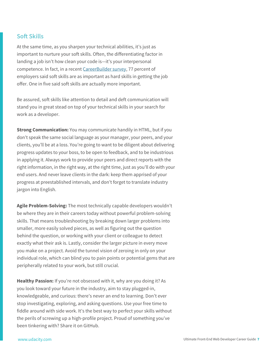#### **Soft Skills**

At the same time, as you sharpen your technical abilities, it's just as important to nurture your soft skills. Often, the differentiating factor in landing a job isn't how clean your code is—it's your interpersonal competence. In fact, in a recent CareerBuilder survey, 77 percent of employers said soft skills are as important as hard skills in getting the job offer. One in five said soft skills are actually more important.

Be assured, soft skills like attention to detail and deft communication will stand you in great stead on top of your technical skills in your search for work as a developer.

**Strong Communication:** You may communicate handily in HTML, but if you don't speak the same social language as your manager, your peers, and your clients, you'll be at a loss. You're going to want to be diligent about delivering progress updates to your boss, to be open to feedback, and to be industrious in applying it. Always work to provide your peers and direct reports with the right information, in the right way, at the right time, just as you'll do with your end users. And never leave clients in the dark: keep them apprised of your progress at preestablished intervals, and don't forget to translate industry jargon into English.

**Agile Problem-Solving:** The most technically capable developers wouldn't be where they are in their careers today without powerful problem-solving skills. That means troubleshooting by breaking down larger problems into smaller, more easily solved pieces, as well as figuring out the question behind the question, or working with your client or colleague to detect exactly what their ask is. Lastly, consider the larger picture in every move you make on a project. Avoid the tunnel vision of zeroing in only on your individual role, which can blind you to pain points or potential gems that are peripherally related to your work, but still crucial.

**Healthy Passion:** If you're not obsessed with it, why are you doing it? As you look toward your future in the industry, aim to stay plugged-in, knowledgeable, and curious: there's never an end to learning. Don't ever stop investigating, exploring, and asking questions. Use your free time to fiddle around with side work. It's the best way to perfect your skills without the perils of screwing up a high-profile project. Proud of something you've been tinkering with? Share it on GitHub.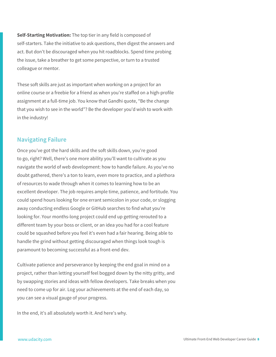**Self-Starting Motivation:** The top tier in any field is composed of self-starters. Take the initiative to ask questions, then digest the answers and act. But don't be discouraged when you hit roadblocks. Spend time probing the issue, take a breather to get some perspective, or turn to a trusted colleague or mentor.

These soft skills are just as important when working on a project for an online course or a freebie for a friend as when you're staffed on a high-profile assignment at a full-time job. You know that Gandhi quote, "Be the change that you wish to see in the world"? Be the developer you'd wish to work with in the industry!

### **Navigating Failure**

Once you've got the hard skills and the soft skills down, you're good to go, right? Well, there's one more ability you'll want to cultivate as you navigate the world of web development: how to handle failure. As you've no doubt gathered, there's a ton to learn, even more to practice, and a plethora of resources to wade through when it comes to learning how to be an excellent developer. The job requires ample time, patience, and fortitude. You could spend hours looking for one errant semicolon in your code, or slogging away conducting endless Google or GitHub searches to find what you're looking for. Your months-long project could end up getting rerouted to a different team by your boss or client, or an idea you had for a cool feature could be squashed before you feel it's even had a fair hearing. Being able to handle the grind without getting discouraged when things look tough is paramount to becoming successful as a front-end dev.

Cultivate patience and perseverance by keeping the end goal in mind on a project, rather than letting yourself feel bogged down by the nitty gritty, and by swapping stories and ideas with fellow developers. Take breaks when you need to come up for air. Log your achievements at the end of each day, so you can see a visual gauge of your progress.

In the end, it's all absolutely worth it. And here's why.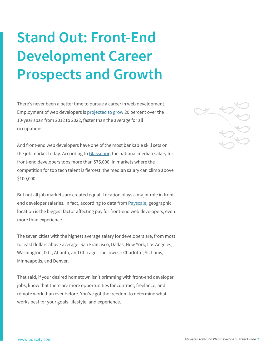## **Stand Out: Front-End Development Career Prospects and Growth**

There's never been a better time to pursue a career in web development. Employment of web developers is projected to grow 20 percent over the 10-year span from 2012 to 2022, faster than the average for all occupations.

And front-end web developers have one of the most bankable skill sets on the job market today. According to Glassdoor, the national median salary for front-end developers tops more than \$75,000. In markets where the competition for top tech talent is fiercest, the median salary can climb above \$100,000.

But not all job markets are created equal. Location plays a major role in frontend developer salaries. In fact, according to data from Payscale, geographic location is the biggest factor affecting pay for front-end web developers, even more than experience.

The seven cities with the highest average salary for developers are, from most to least dollars above average: San Francisco, Dallas, New York, Los Angeles, Washington, D.C., Atlanta, and Chicago. The lowest: Charlotte, St. Louis, Minneapolis, and Denver.

That said, if your desired hometown isn't brimming with front-end developer jobs, know that there are more opportunities for contract, freelance, and remote work than ever before. You've got the freedom to determine what works best for your goals, lifestyle, and experience.

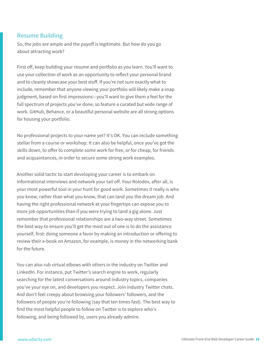#### **Resume Building**

So, the jobs are ample and the payoff is legitimate. But how do you go about attracting work?

First off, keep building your resume and portfolio as you learn. You'll want to use your collection of work as an opportunity to reflect your personal brand and to cleanly showcase your best stuff. If you're not sure exactly what to include, remember that anyone viewing your portfolio will likely make a snap judgment, based on first impressions—you'll want to give them a feel for the full spectrum of projects you've done, so feature a curated but wide range of work. GitHub, Behance, or a beautiful personal website are all strong options for housing your portfolio.

No professional projects to your name yet? It's OK. You can include something stellar from a course or workshop. It can also be helpful, once you've got the skills down, to offer to complete some work for free, or for cheap, for friends and acquaintances, in order to secure some strong work examples.

Another solid tactic to start developing your career is to embark on informational interviews and network your tail off. Your Rolodex, after all, is your most powerful tool in your hunt for good work. Sometimes it really is who you know, rather than what you know, that can land you the dream job. And having the right professional network at your fingertips can expose you to more job opportunities than if you were trying to land a gig alone. Just remember that professional relationships are a two-way street. Sometimes the best way to ensure you'll get the most out of one is to do the assistance yourself, first: doing someone a favor by making an introduction or offering to review their e-book on Amazon, for example, is money in the networking bank for the future.

You can also rub virtual elbows with others in the industry on Twitter and LinkedIn. For instance, put Twitter's search engine to work, regularly searching for the latest conversations around industry topics, companies you've your eye on, and developers you respect. Join industry Twitter chats. And don't feel creepy about browsing your followers' followers, and the followers of people you're following (say that ten times fast). The best way to find the most helpful people to follow on Twitter is to explore who's following, and being followed by, users you already admire.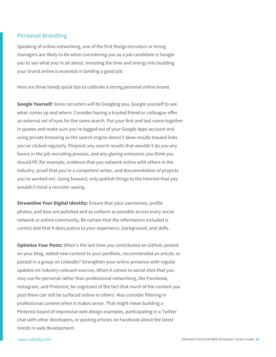#### **Personal Branding**

Speaking of online networking, one of the first things recruiters or hiring managers are likely to do when considering you as a job candidate is Google you to see what you're all about. Investing the time and energy into building your brand online is essential in landing a good job.

Here are three handy quick tips to cultivate a strong personal online brand.

**Google Yourself:** Since recruiters will be Googling you, Google yourself to see what comes up and where. Consider having a trusted friend or colleague offer an external set of eyes for the same search. Put your first and last name together in quotes and make sure you're logged out of your Google Apps account and using private browsing so the search engine doesn't skew results toward links you've clicked regularly. Pinpoint any search results that wouldn't do you any favors in the job recruiting process, and any glaring omissions you think you should fill (for example, evidence that you network online with others in the industry, proof that you're a competent writer, and documentation of projects you've worked on). Going forward, only publish things to the Internet that you wouldn't mind a recruiter seeing.

**Streamline Your Digital Identity:** Ensure that your usernames, profile photos, and bios are polished and as uniform as possible across every social network or online community. Be certain that the information included is correct and that it does justice to your experience, background, and skills.

**Optimize Your Posts:** When's the last time you contributed on GitHub, posted on your blog, added new content to your portfolio, recommended an article, or posted in a group on LinkedIn? Strengthen your online presence with regular updates on industry-relevant sources. When it comes to social sites that you may use for personal rather than professional networking, like Facebook, Instagram, and Pinterest, be cognizant of the fact that much of the content you post there can still be surfaced online to others. Also consider filtering in professional content when it makes sense. That might mean building a Pinterest board of impressive web design examples, participating in a Twitter chat with other developers, or posting articles on Facebook about the latest trends in web development.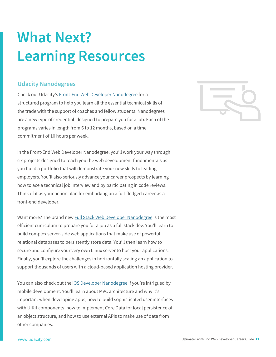### **What Next? Learning Resources**

### **Udacity Nanodegrees**

Check out Udacity's Front-End Web Developer Nanodegree for a structured program to help you learn all the essential technical skills of the trade with the support of coaches and fellow students. Nanodegrees are a new type of credential, designed to prepare you for a job. Each of the programs varies in length from 6 to 12 months, based on a time commitment of 10 hours per week.

In the Front-End Web Developer Nanodegree, you'll work your way through six projects designed to teach you the web development fundamentals as you build a portfolio that will demonstrate your new skills to leading employers. You'll also seriously advance your career prospects by learning how to ace a technical job interview and by participating in code reviews. Think of it as your action plan for embarking on a full-fledged career as a front-end developer.

Want more? The brand new Full Stack Web Developer Nanodegree is the most efficient curriculum to prepare you for a job as a full stack dev. You'll learn to build complex server-side web applications that make use of powerful relational databases to persistently store data. You'll then learn how to secure and configure your very own Linux server to host your applications. Finally, you'll explore the challenges in horizontally scaling an application to support thousands of users with a cloud-based application hosting provider.

You can also check out the iOS Developer Nanodegree if you're intrigued by mobile development. You'll learn about MVC architecture and why it's important when developing apps, how to build sophisticated user interfaces with UIKit components, how to implement Core Data for local persistence of an object structure, and how to use external APIs to make use of data from other companies.

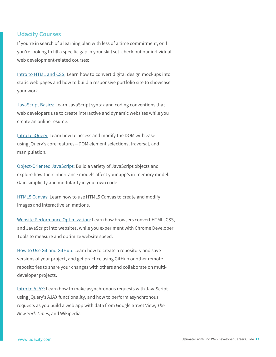#### **Udacity Courses**

If you're in search of a learning plan with less of a time commitment, or if you're looking to fill a specific gap in your skill set, check out our individual web development-related courses:

Intro to HTML and CSS: Learn how to convert digital design mockups into static web pages and how to build a responsive portfolio site to showcase your work.

JavaScript Basics: Learn JavaScript syntax and coding conventions that web developers use to create interactive and dynamic websites while you create an online resume.

Intro to jQuery: Learn how to access and modify the DOM with ease using jQuery's core features—DOM element selections, traversal, and manipulation.

Object-Oriented JavaScript: Build a variety of JavaScript objects and explore how their inheritance models affect your app's in-memory model. Gain simplicity and modularity in your own code.

HTML5 Canvas: Learn how to use HTML5 Canvas to create and modify images and interactive animations.

Website Performance Optimization: Learn how browsers convert HTML, CSS, and JavaScript into websites, while you experiment with Chrome Developer Tools to measure and optimize website speed.

How to Use Git and GitHub: Learn how to create a repository and save versions of your project, and get practice using GitHub or other remote repositories to share your changes with others and collaborate on multideveloper projects.

Intro to AJAX: Learn how to make asynchronous requests with JavaScript using jQuery's AJAX functionality, and how to perform asynchronous requests as you build a web app with data from Google Street View, *The New York Times*, and Wikipedia.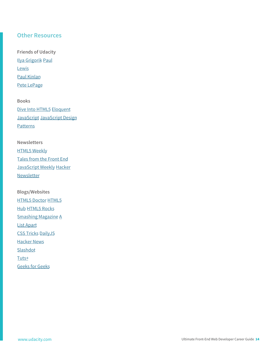### **Other Resources**

**Friends of Udacity** Ilya Grigorik Paul **Lewis** Paul Kinlan Pete LePage

**Books** Dive Into HTML5 Eloquent JavaScript JavaScript Design **Patterns** 

**Newsletters HTML5 Weekly** Tales from the Front End JavaScript Weekly Hacker Newsletter

**Blogs/Websites** HTML5 Doctor HTML5 Hub HTML5 Rocks Smashing Magazine A List Apart CSS Tricks DailyJS Hacker News Slashdot Tuts+ Geeks for Geeks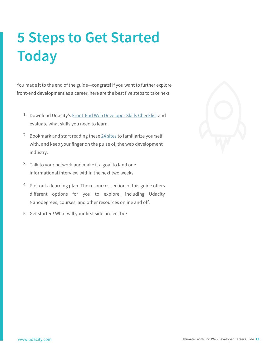### **5 Steps to Get Started Today**

You made it to the end of the guide—congrats! If you want to further explore front-end development as a career, here are the best five steps to take next.

- 1. Download Udacity's Front-End Web Developer Skills Checklist and evaluate what skills you need to learn.
- 2. Bookmark and start reading these 24 sites to familiarize yourself with, and keep your finger on the pulse of, the web development industry.
- 3. Talk to your network and make it a goal to land one informational interview within the next two weeks.
- 4. Plot out a learning plan. The resources section of this guide offers different options for you to explore, including Udacity Nanodegrees, courses, and other resources online and off.
- 5. Get started! What will your first side project be?